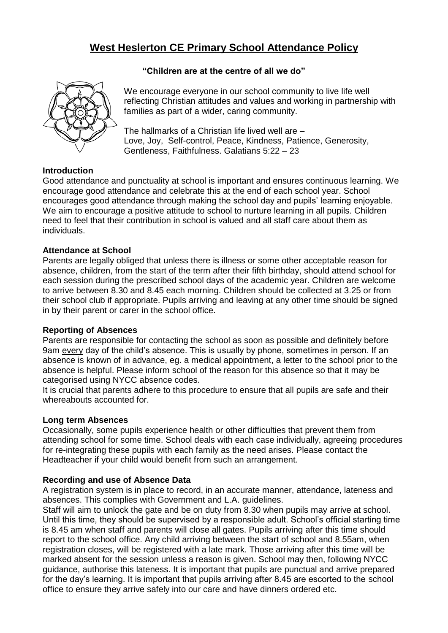# **West Heslerton CE Primary School Attendance Policy**



#### **"Children are at the centre of all we do"**

**Introduction**

We encourage everyone in our school community to live life well reflecting Christian attitudes and values and working in partnership with families as part of a wider, caring community.

The hallmarks of a Christian life lived well are – Love, Joy, Self-control, Peace, Kindness, Patience, Generosity, Gentleness, Faithfulness. Galatians 5:22 – 23

Good attendance and punctuality at school is important and ensures continuous learning. We encourage good attendance and celebrate this at the end of each school year. School encourages good attendance through making the school day and pupils' learning enjoyable. We aim to encourage a positive attitude to school to nurture learning in all pupils. Children need to feel that their contribution in school is valued and all staff care about them as individuals.

## **Attendance at School**

Parents are legally obliged that unless there is illness or some other acceptable reason for absence, children, from the start of the term after their fifth birthday, should attend school for each session during the prescribed school days of the academic year. Children are welcome to arrive between 8.30 and 8.45 each morning. Children should be collected at 3.25 or from their school club if appropriate. Pupils arriving and leaving at any other time should be signed in by their parent or carer in the school office.

#### **Reporting of Absences**

Parents are responsible for contacting the school as soon as possible and definitely before 9am every day of the child's absence. This is usually by phone, sometimes in person. If an absence is known of in advance, eg. a medical appointment, a letter to the school prior to the absence is helpful. Please inform school of the reason for this absence so that it may be categorised using NYCC absence codes.

It is crucial that parents adhere to this procedure to ensure that all pupils are safe and their whereabouts accounted for.

#### **Long term Absences**

Occasionally, some pupils experience health or other difficulties that prevent them from attending school for some time. School deals with each case individually, agreeing procedures for re-integrating these pupils with each family as the need arises. Please contact the Headteacher if your child would benefit from such an arrangement.

#### **Recording and use of Absence Data**

A registration system is in place to record, in an accurate manner, attendance, lateness and absences. This complies with Government and L.A. guidelines.

Staff will aim to unlock the gate and be on duty from 8.30 when pupils may arrive at school. Until this time, they should be supervised by a responsible adult. School's official starting time is 8.45 am when staff and parents will close all gates. Pupils arriving after this time should report to the school office. Any child arriving between the start of school and 8.55am, when registration closes, will be registered with a late mark. Those arriving after this time will be marked absent for the session unless a reason is given. School may then, following NYCC guidance, authorise this lateness. It is important that pupils are punctual and arrive prepared for the day's learning. It is important that pupils arriving after 8.45 are escorted to the school office to ensure they arrive safely into our care and have dinners ordered etc.